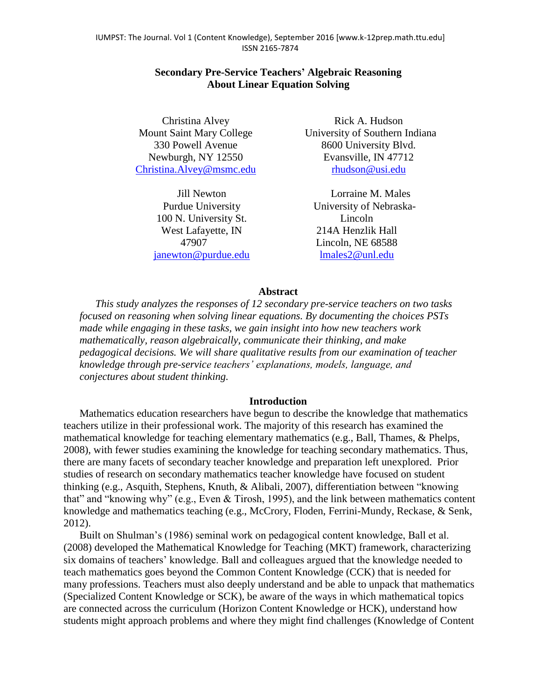## **Secondary Pre-Service Teachers' Algebraic Reasoning About Linear Equation Solving**

Christina Alvey Mount Saint Mary College 330 Powell Avenue Newburgh, NY 12550 [Christina.Alvey@msmc.edu](mailto:Christina.Alvey@msmc.edu)

> Jill Newton Purdue University 100 N. University St. West Lafayette, IN 47907 [janewton@purdue.edu](mailto:janewton@purdue.edu)

Rick A. Hudson University of Southern Indiana 8600 University Blvd. Evansville, IN 47712 [rhudson@usi.edu](mailto:rhudson@usi.edu)

Lorraine M. Males University of Nebraska-Lincoln 214A Henzlik Hall Lincoln, NE 68588 [lmales2@unl.edu](mailto:lmales2@unl.edu)

### **Abstract**

*This study analyzes the responses of 12 secondary pre-service teachers on two tasks focused on reasoning when solving linear equations. By documenting the choices PSTs made while engaging in these tasks, we gain insight into how new teachers work mathematically, reason algebraically, communicate their thinking, and make pedagogical decisions. We will share qualitative results from our examination of teacher knowledge through pre-service teachers' explanations, models, language, and conjectures about student thinking.*

### **Introduction**

Mathematics education researchers have begun to describe the knowledge that mathematics teachers utilize in their professional work. The majority of this research has examined the mathematical knowledge for teaching elementary mathematics (e.g., Ball, Thames, & Phelps, 2008), with fewer studies examining the knowledge for teaching secondary mathematics. Thus, there are many facets of secondary teacher knowledge and preparation left unexplored. Prior studies of research on secondary mathematics teacher knowledge have focused on student thinking (e.g., Asquith, Stephens, Knuth, & Alibali, 2007), differentiation between "knowing that" and "knowing why" (e.g., Even & Tirosh, 1995), and the link between mathematics content knowledge and mathematics teaching (e.g., McCrory, Floden, Ferrini-Mundy, Reckase, & Senk, 2012).

Built on Shulman's (1986) seminal work on pedagogical content knowledge, Ball et al. (2008) developed the Mathematical Knowledge for Teaching (MKT) framework, characterizing six domains of teachers' knowledge. Ball and colleagues argued that the knowledge needed to teach mathematics goes beyond the Common Content Knowledge (CCK) that is needed for many professions. Teachers must also deeply understand and be able to unpack that mathematics (Specialized Content Knowledge or SCK), be aware of the ways in which mathematical topics are connected across the curriculum (Horizon Content Knowledge or HCK), understand how students might approach problems and where they might find challenges (Knowledge of Content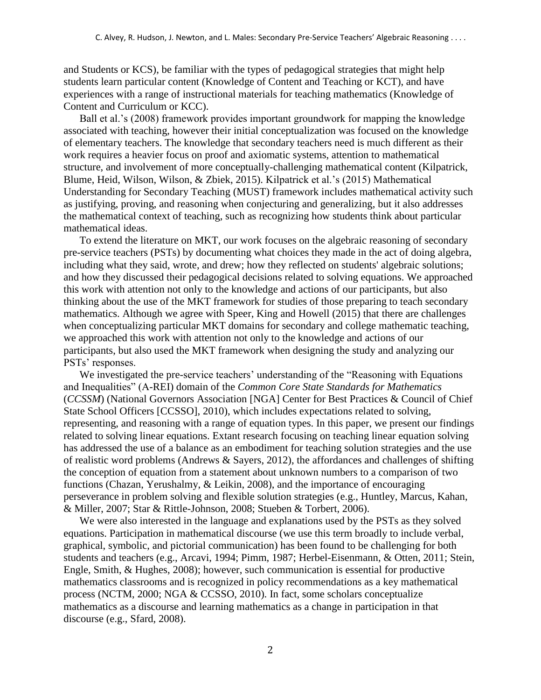and Students or KCS), be familiar with the types of pedagogical strategies that might help students learn particular content (Knowledge of Content and Teaching or KCT), and have experiences with a range of instructional materials for teaching mathematics (Knowledge of Content and Curriculum or KCC).

Ball et al.'s (2008) framework provides important groundwork for mapping the knowledge associated with teaching, however their initial conceptualization was focused on the knowledge of elementary teachers. The knowledge that secondary teachers need is much different as their work requires a heavier focus on proof and axiomatic systems, attention to mathematical structure, and involvement of more conceptually-challenging mathematical content (Kilpatrick, Blume, Heid, Wilson, Wilson, & Zbiek, 2015). Kilpatrick et al.'s (2015) Mathematical Understanding for Secondary Teaching (MUST) framework includes mathematical activity such as justifying, proving, and reasoning when conjecturing and generalizing, but it also addresses the mathematical context of teaching, such as recognizing how students think about particular mathematical ideas.

To extend the literature on MKT, our work focuses on the algebraic reasoning of secondary pre-service teachers (PSTs) by documenting what choices they made in the act of doing algebra, including what they said, wrote, and drew; how they reflected on students' algebraic solutions; and how they discussed their pedagogical decisions related to solving equations. We approached this work with attention not only to the knowledge and actions of our participants, but also thinking about the use of the MKT framework for studies of those preparing to teach secondary mathematics. Although we agree with Speer, King and Howell (2015) that there are challenges when conceptualizing particular MKT domains for secondary and college mathematic teaching, we approached this work with attention not only to the knowledge and actions of our participants, but also used the MKT framework when designing the study and analyzing our PSTs' responses.

We investigated the pre-service teachers' understanding of the "Reasoning with Equations and Inequalities" (A-REI) domain of the *Common Core State Standards for Mathematics* (*CCSSM*) (National Governors Association [NGA] Center for Best Practices & Council of Chief State School Officers [CCSSO], 2010), which includes expectations related to solving, representing, and reasoning with a range of equation types. In this paper, we present our findings related to solving linear equations. Extant research focusing on teaching linear equation solving has addressed the use of a balance as an embodiment for teaching solution strategies and the use of realistic word problems (Andrews & Sayers, 2012), the affordances and challenges of shifting the conception of equation from a statement about unknown numbers to a comparison of two functions (Chazan, Yerushalmy, & Leikin, 2008), and the importance of encouraging perseverance in problem solving and flexible solution strategies (e.g., Huntley, Marcus, Kahan, & Miller, 2007; Star & Rittle-Johnson, 2008; Stueben & Torbert, 2006).

We were also interested in the language and explanations used by the PSTs as they solved equations. Participation in mathematical discourse (we use this term broadly to include verbal, graphical, symbolic, and pictorial communication) has been found to be challenging for both students and teachers (e.g., Arcavi, 1994; Pimm, 1987; Herbel-Eisenmann, & Otten, 2011; Stein, Engle, Smith, & Hughes, 2008); however, such communication is essential for productive mathematics classrooms and is recognized in policy recommendations as a key mathematical process (NCTM, 2000; NGA & CCSSO, 2010). In fact, some scholars conceptualize mathematics as a discourse and learning mathematics as a change in participation in that discourse (e.g., Sfard, 2008).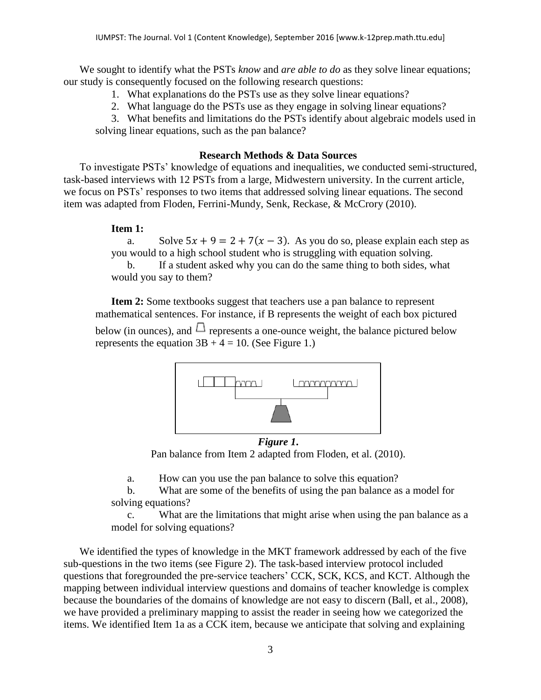We sought to identify what the PSTs *know* and *are able to do* as they solve linear equations; our study is consequently focused on the following research questions:

- 1. What explanations do the PSTs use as they solve linear equations?
- 2. What language do the PSTs use as they engage in solving linear equations?

3. What benefits and limitations do the PSTs identify about algebraic models used in solving linear equations, such as the pan balance?

# **Research Methods & Data Sources**

To investigate PSTs' knowledge of equations and inequalities, we conducted semi-structured, task-based interviews with 12 PSTs from a large, Midwestern university. In the current article, we focus on PSTs' responses to two items that addressed solving linear equations. The second item was adapted from Floden, Ferrini-Mundy, Senk, Reckase, & McCrory (2010).

# **Item 1:**

a. Solve  $5x + 9 = 2 + 7(x - 3)$ . As you do so, please explain each step as you would to a high school student who is struggling with equation solving.

b. If a student asked why you can do the same thing to both sides, what would you say to them?

**Item 2:** Some textbooks suggest that teachers use a pan balance to represent mathematical sentences. For instance, if B represents the weight of each box pictured below (in ounces), and  $\Box$  represents a one-ounce weight, the balance pictured below represents the equation  $3B + 4 = 10$ . (See Figure 1.)



*Figure 1***.**  Pan balance from Item 2 adapted from Floden, et al. (2010).

a. How can you use the pan balance to solve this equation?

b. What are some of the benefits of using the pan balance as a model for solving equations?

c. What are the limitations that might arise when using the pan balance as a model for solving equations?

We identified the types of knowledge in the MKT framework addressed by each of the five sub-questions in the two items (see Figure 2). The task-based interview protocol included questions that foregrounded the pre-service teachers' CCK, SCK, KCS, and KCT. Although the mapping between individual interview questions and domains of teacher knowledge is complex because the boundaries of the domains of knowledge are not easy to discern (Ball, et al., 2008), we have provided a preliminary mapping to assist the reader in seeing how we categorized the items. We identified Item 1a as a CCK item, because we anticipate that solving and explaining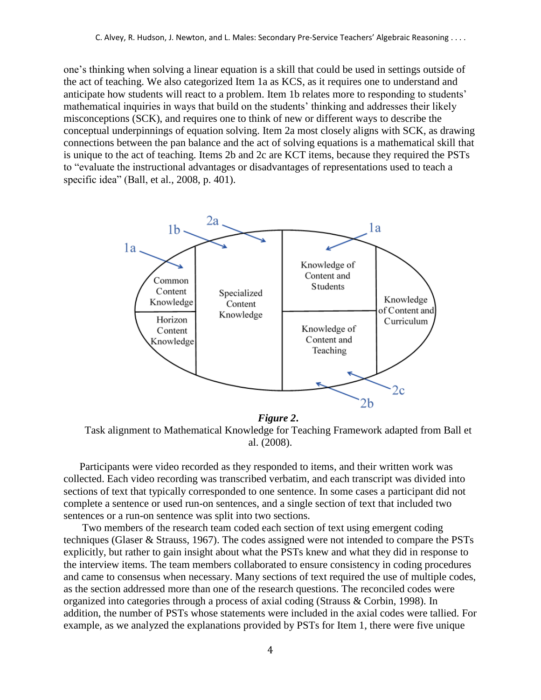one's thinking when solving a linear equation is a skill that could be used in settings outside of the act of teaching. We also categorized Item 1a as KCS, as it requires one to understand and anticipate how students will react to a problem. Item 1b relates more to responding to students' mathematical inquiries in ways that build on the students' thinking and addresses their likely misconceptions (SCK), and requires one to think of new or different ways to describe the conceptual underpinnings of equation solving. Item 2a most closely aligns with SCK, as drawing connections between the pan balance and the act of solving equations is a mathematical skill that is unique to the act of teaching. Items 2b and 2c are KCT items, because they required the PSTs to "evaluate the instructional advantages or disadvantages of representations used to teach a specific idea" (Ball, et al., 2008, p. 401).



*Figure 2***.** 

Task alignment to Mathematical Knowledge for Teaching Framework adapted from Ball et al. (2008).

Participants were video recorded as they responded to items, and their written work was collected. Each video recording was transcribed verbatim, and each transcript was divided into sections of text that typically corresponded to one sentence. In some cases a participant did not complete a sentence or used run-on sentences, and a single section of text that included two sentences or a run-on sentence was split into two sections.

Two members of the research team coded each section of text using emergent coding techniques (Glaser & Strauss, 1967). The codes assigned were not intended to compare the PSTs explicitly, but rather to gain insight about what the PSTs knew and what they did in response to the interview items. The team members collaborated to ensure consistency in coding procedures and came to consensus when necessary. Many sections of text required the use of multiple codes, as the section addressed more than one of the research questions. The reconciled codes were organized into categories through a process of axial coding (Strauss & Corbin, 1998). In addition, the number of PSTs whose statements were included in the axial codes were tallied. For example, as we analyzed the explanations provided by PSTs for Item 1, there were five unique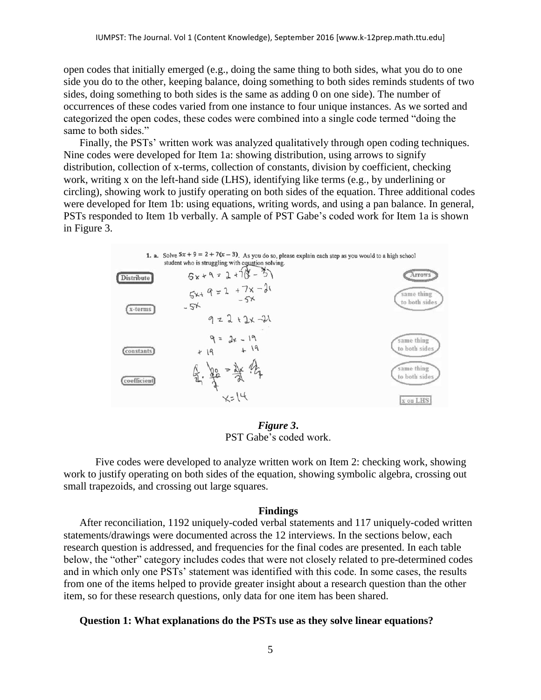open codes that initially emerged (e.g., doing the same thing to both sides, what you do to one side you do to the other, keeping balance, doing something to both sides reminds students of two sides, doing something to both sides is the same as adding 0 on one side). The number of occurrences of these codes varied from one instance to four unique instances. As we sorted and categorized the open codes, these codes were combined into a single code termed "doing the same to both sides."

Finally, the PSTs' written work was analyzed qualitatively through open coding techniques. Nine codes were developed for Item 1a: showing distribution, using arrows to signify distribution, collection of x-terms, collection of constants, division by coefficient, checking work, writing x on the left-hand side (LHS), identifying like terms (e.g., by underlining or circling), showing work to justify operating on both sides of the equation. Three additional codes were developed for Item 1b: using equations, writing words, and using a pan balance. In general, PSTs responded to Item 1b verbally. A sample of PST Gabe's coded work for Item 1a is shown in Figure 3.



*Figure 3***.**  PST Gabe's coded work.

Five codes were developed to analyze written work on Item 2: checking work, showing work to justify operating on both sides of the equation, showing symbolic algebra, crossing out small trapezoids, and crossing out large squares.

### **Findings**

After reconciliation, 1192 uniquely-coded verbal statements and 117 uniquely-coded written statements/drawings were documented across the 12 interviews. In the sections below, each research question is addressed, and frequencies for the final codes are presented. In each table below, the "other" category includes codes that were not closely related to pre-determined codes and in which only one PSTs' statement was identified with this code. In some cases, the results from one of the items helped to provide greater insight about a research question than the other item, so for these research questions, only data for one item has been shared.

#### **Question 1: What explanations do the PSTs use as they solve linear equations?**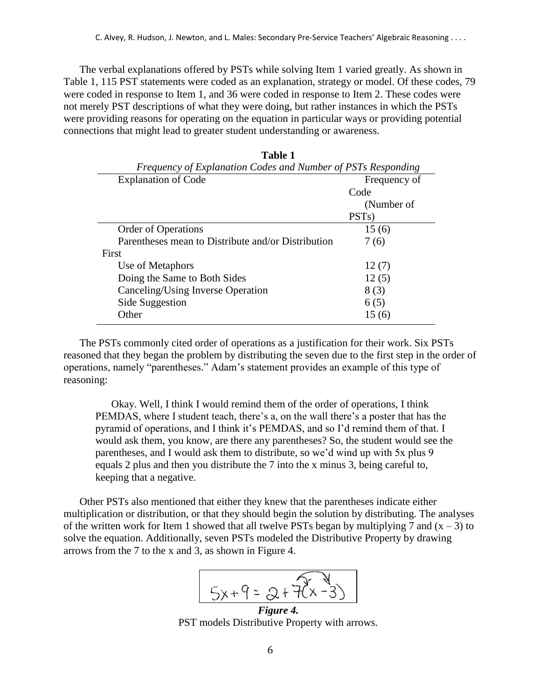The verbal explanations offered by PSTs while solving Item 1 varied greatly. As shown in Table 1, 115 PST statements were coded as an explanation, strategy or model. Of these codes, 79 were coded in response to Item 1, and 36 were coded in response to Item 2. These codes were not merely PST descriptions of what they were doing, but rather instances in which the PSTs were providing reasons for operating on the equation in particular ways or providing potential connections that might lead to greater student understanding or awareness.

**Table 1**

| тате т                                                       |                    |  |
|--------------------------------------------------------------|--------------------|--|
| Frequency of Explanation Codes and Number of PSTs Responding |                    |  |
| <b>Explanation of Code</b>                                   | Frequency of       |  |
|                                                              | Code               |  |
|                                                              | (Number of         |  |
|                                                              | PST <sub>s</sub> ) |  |
| <b>Order of Operations</b>                                   | 15(6)              |  |
| Parentheses mean to Distribute and/or Distribution           | 7(6)               |  |
| First                                                        |                    |  |
| Use of Metaphors                                             | 12(7)              |  |
| Doing the Same to Both Sides                                 | 12(5)              |  |
| Canceling/Using Inverse Operation                            | 8(3)               |  |
| Side Suggestion                                              | 6(5)               |  |
| Other                                                        | 15(6)              |  |
|                                                              |                    |  |

The PSTs commonly cited order of operations as a justification for their work. Six PSTs reasoned that they began the problem by distributing the seven due to the first step in the order of operations, namely "parentheses." Adam's statement provides an example of this type of reasoning:

Okay. Well, I think I would remind them of the order of operations, I think PEMDAS, where I student teach, there's a, on the wall there's a poster that has the pyramid of operations, and I think it's PEMDAS, and so I'd remind them of that. I would ask them, you know, are there any parentheses? So, the student would see the parentheses, and I would ask them to distribute, so we'd wind up with 5x plus 9 equals 2 plus and then you distribute the 7 into the x minus 3, being careful to, keeping that a negative.

Other PSTs also mentioned that either they knew that the parentheses indicate either multiplication or distribution, or that they should begin the solution by distributing. The analyses of the written work for Item 1 showed that all twelve PSTs began by multiplying 7 and  $(x - 3)$  to solve the equation. Additionally, seven PSTs modeled the Distributive Property by drawing arrows from the 7 to the x and 3, as shown in Figure 4.



PST models Distributive Property with arrows.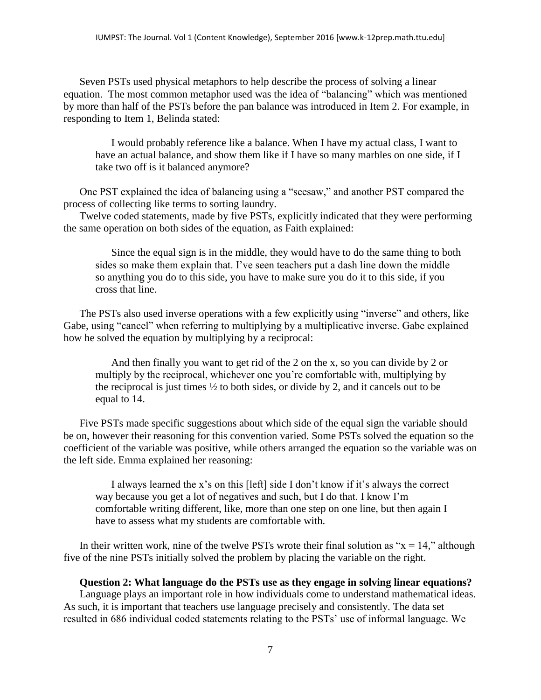Seven PSTs used physical metaphors to help describe the process of solving a linear equation. The most common metaphor used was the idea of "balancing" which was mentioned by more than half of the PSTs before the pan balance was introduced in Item 2. For example, in responding to Item 1, Belinda stated:

I would probably reference like a balance. When I have my actual class, I want to have an actual balance, and show them like if I have so many marbles on one side, if I take two off is it balanced anymore?

One PST explained the idea of balancing using a "seesaw," and another PST compared the process of collecting like terms to sorting laundry.

Twelve coded statements, made by five PSTs, explicitly indicated that they were performing the same operation on both sides of the equation, as Faith explained:

Since the equal sign is in the middle, they would have to do the same thing to both sides so make them explain that. I've seen teachers put a dash line down the middle so anything you do to this side, you have to make sure you do it to this side, if you cross that line.

The PSTs also used inverse operations with a few explicitly using "inverse" and others, like Gabe, using "cancel" when referring to multiplying by a multiplicative inverse. Gabe explained how he solved the equation by multiplying by a reciprocal:

And then finally you want to get rid of the 2 on the x, so you can divide by 2 or multiply by the reciprocal, whichever one you're comfortable with, multiplying by the reciprocal is just times ½ to both sides, or divide by 2, and it cancels out to be equal to 14.

Five PSTs made specific suggestions about which side of the equal sign the variable should be on, however their reasoning for this convention varied. Some PSTs solved the equation so the coefficient of the variable was positive, while others arranged the equation so the variable was on the left side. Emma explained her reasoning:

I always learned the x's on this [left] side I don't know if it's always the correct way because you get a lot of negatives and such, but I do that. I know I'm comfortable writing different, like, more than one step on one line, but then again I have to assess what my students are comfortable with.

In their written work, nine of the twelve PSTs wrote their final solution as " $x = 14$ ," although five of the nine PSTs initially solved the problem by placing the variable on the right.

### **Question 2: What language do the PSTs use as they engage in solving linear equations?**

Language plays an important role in how individuals come to understand mathematical ideas. As such, it is important that teachers use language precisely and consistently. The data set resulted in 686 individual coded statements relating to the PSTs' use of informal language. We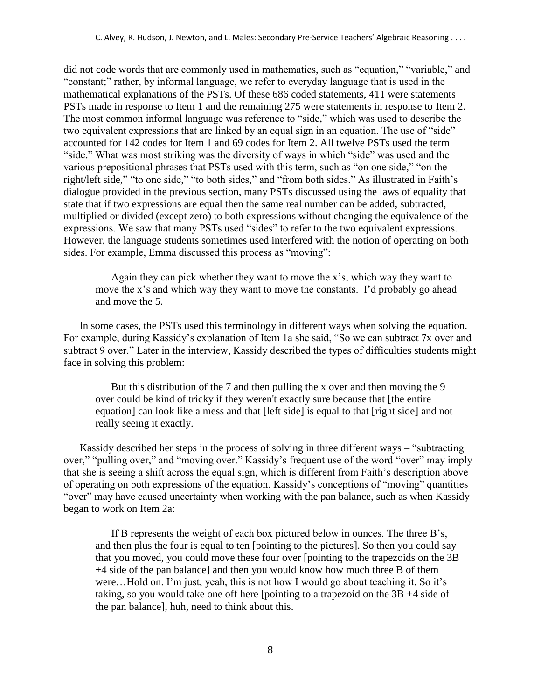did not code words that are commonly used in mathematics, such as "equation," "variable," and "constant;" rather, by informal language, we refer to everyday language that is used in the mathematical explanations of the PSTs. Of these 686 coded statements, 411 were statements PSTs made in response to Item 1 and the remaining 275 were statements in response to Item 2. The most common informal language was reference to "side," which was used to describe the two equivalent expressions that are linked by an equal sign in an equation. The use of "side" accounted for 142 codes for Item 1 and 69 codes for Item 2. All twelve PSTs used the term "side." What was most striking was the diversity of ways in which "side" was used and the various prepositional phrases that PSTs used with this term, such as "on one side," "on the right/left side," "to one side," "to both sides," and "from both sides." As illustrated in Faith's dialogue provided in the previous section, many PSTs discussed using the laws of equality that state that if two expressions are equal then the same real number can be added, subtracted, multiplied or divided (except zero) to both expressions without changing the equivalence of the expressions. We saw that many PSTs used "sides" to refer to the two equivalent expressions. However, the language students sometimes used interfered with the notion of operating on both sides. For example, Emma discussed this process as "moving":

Again they can pick whether they want to move the x's, which way they want to move the x's and which way they want to move the constants. I'd probably go ahead and move the 5.

In some cases, the PSTs used this terminology in different ways when solving the equation. For example, during Kassidy's explanation of Item 1a she said, "So we can subtract 7x over and subtract 9 over." Later in the interview, Kassidy described the types of difficulties students might face in solving this problem:

But this distribution of the 7 and then pulling the x over and then moving the 9 over could be kind of tricky if they weren't exactly sure because that [the entire equation] can look like a mess and that [left side] is equal to that [right side] and not really seeing it exactly.

Kassidy described her steps in the process of solving in three different ways – "subtracting over," "pulling over," and "moving over." Kassidy's frequent use of the word "over" may imply that she is seeing a shift across the equal sign, which is different from Faith's description above of operating on both expressions of the equation. Kassidy's conceptions of "moving" quantities "over" may have caused uncertainty when working with the pan balance, such as when Kassidy began to work on Item 2a:

If B represents the weight of each box pictured below in ounces. The three B's, and then plus the four is equal to ten [pointing to the pictures]. So then you could say that you moved, you could move these four over [pointing to the trapezoids on the 3B +4 side of the pan balance] and then you would know how much three B of them were…Hold on. I'm just, yeah, this is not how I would go about teaching it. So it's taking, so you would take one off here [pointing to a trapezoid on the 3B +4 side of the pan balance], huh, need to think about this.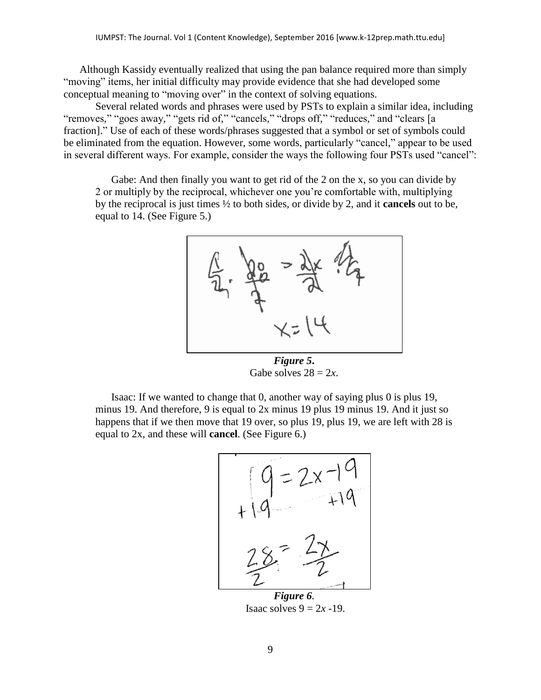Although Kassidy eventually realized that using the pan balance required more than simply "moving" items, her initial difficulty may provide evidence that she had developed some conceptual meaning to "moving over" in the context of solving equations.

Several related words and phrases were used by PSTs to explain a similar idea, including "removes," "goes away," "gets rid of," "cancels," "drops off," "reduces," and "clears [a fraction]." Use of each of these words/phrases suggested that a symbol or set of symbols could be eliminated from the equation. However, some words, particularly "cancel," appear to be used in several different ways. For example, consider the ways the following four PSTs used "cancel":

Gabe: And then finally you want to get rid of the 2 on the x, so you can divide by 2 or multiply by the reciprocal, whichever one you're comfortable with, multiplying by the reciprocal is just times ½ to both sides, or divide by 2, and it **cancels** out to be, equal to 14. (See Figure 5.)



*Figure 5***.**  Gabe solves  $28 = 2x$ .

Isaac: If we wanted to change that 0, another way of saying plus 0 is plus 19, minus 19. And therefore, 9 is equal to 2x minus 19 plus 19 minus 19. And it just so happens that if we then move that 19 over, so plus 19, plus 19, we are left with 28 is equal to 2x, and these will **cancel**. (See Figure 6.)



*Figure 6.* Isaac solves  $9 = 2x - 19$ .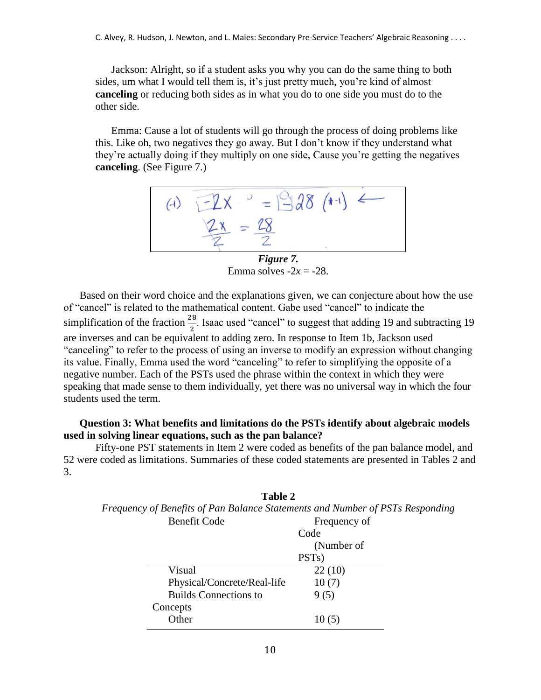C. Alvey, R. Hudson, J. Newton, and L. Males: Secondary Pre-Service Teachers' Algebraic Reasoning . . . .

Jackson: Alright, so if a student asks you why you can do the same thing to both sides, um what I would tell them is, it's just pretty much, you're kind of almost **canceling** or reducing both sides as in what you do to one side you must do to the other side.

Emma: Cause a lot of students will go through the process of doing problems like this. Like oh, two negatives they go away. But I don't know if they understand what they're actually doing if they multiply on one side, Cause you're getting the negatives **canceling**. (See Figure 7.)



Emma solves  $-2x = -28$ .

Based on their word choice and the explanations given, we can conjecture about how the use of "cancel" is related to the mathematical content. Gabe used "cancel" to indicate the simplification of the fraction  $\frac{28}{2}$ . Isaac used "cancel" to suggest that adding 19 and subtracting 19 are inverses and can be equivalent to adding zero. In response to Item 1b, Jackson used "canceling" to refer to the process of using an inverse to modify an expression without changing its value. Finally, Emma used the word "canceling" to refer to simplifying the opposite of a negative number. Each of the PSTs used the phrase within the context in which they were speaking that made sense to them individually, yet there was no universal way in which the four students used the term.

# **Question 3: What benefits and limitations do the PSTs identify about algebraic models used in solving linear equations, such as the pan balance?**

Fifty-one PST statements in Item 2 were coded as benefits of the pan balance model, and 52 were coded as limitations. Summaries of these coded statements are presented in Tables 2 and 3.

|                                                                               | Table 2                      |                    |  |  |
|-------------------------------------------------------------------------------|------------------------------|--------------------|--|--|
| Frequency of Benefits of Pan Balance Statements and Number of PSTs Responding |                              |                    |  |  |
|                                                                               | <b>Benefit Code</b>          | Frequency of       |  |  |
|                                                                               |                              | Code               |  |  |
|                                                                               |                              | (Number of         |  |  |
|                                                                               |                              | PST <sub>s</sub> ) |  |  |
|                                                                               | Visual                       | 22(10)             |  |  |
|                                                                               | Physical/Concrete/Real-life  | 10(7)              |  |  |
|                                                                               | <b>Builds Connections to</b> | 9(5)               |  |  |
|                                                                               | Concepts                     |                    |  |  |
|                                                                               | Other                        | 10(5)              |  |  |
|                                                                               |                              |                    |  |  |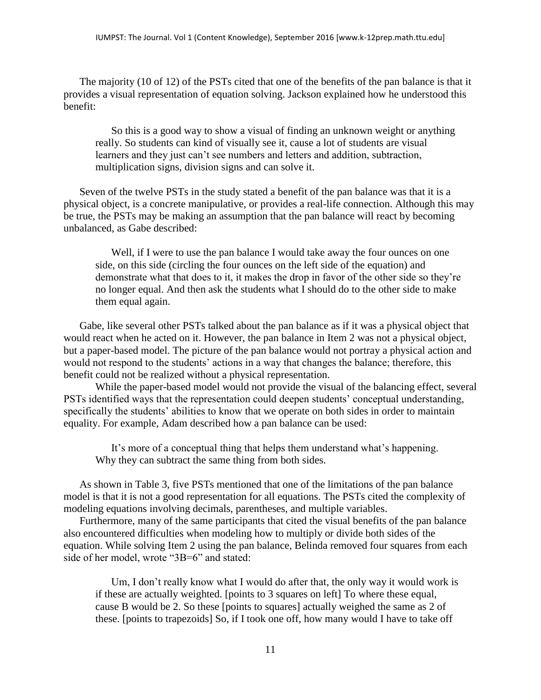The majority (10 of 12) of the PSTs cited that one of the benefits of the pan balance is that it provides a visual representation of equation solving. Jackson explained how he understood this benefit:

So this is a good way to show a visual of finding an unknown weight or anything really. So students can kind of visually see it, cause a lot of students are visual learners and they just can't see numbers and letters and addition, subtraction, multiplication signs, division signs and can solve it.

Seven of the twelve PSTs in the study stated a benefit of the pan balance was that it is a physical object, is a concrete manipulative, or provides a real-life connection. Although this may be true, the PSTs may be making an assumption that the pan balance will react by becoming unbalanced, as Gabe described:

Well, if I were to use the pan balance I would take away the four ounces on one side, on this side (circling the four ounces on the left side of the equation) and demonstrate what that does to it, it makes the drop in favor of the other side so they're no longer equal. And then ask the students what I should do to the other side to make them equal again.

Gabe, like several other PSTs talked about the pan balance as if it was a physical object that would react when he acted on it. However, the pan balance in Item 2 was not a physical object, but a paper-based model. The picture of the pan balance would not portray a physical action and would not respond to the students' actions in a way that changes the balance; therefore, this benefit could not be realized without a physical representation.

While the paper-based model would not provide the visual of the balancing effect, several PSTs identified ways that the representation could deepen students' conceptual understanding, specifically the students' abilities to know that we operate on both sides in order to maintain equality. For example, Adam described how a pan balance can be used:

It's more of a conceptual thing that helps them understand what's happening. Why they can subtract the same thing from both sides.

As shown in Table 3, five PSTs mentioned that one of the limitations of the pan balance model is that it is not a good representation for all equations. The PSTs cited the complexity of modeling equations involving decimals, parentheses, and multiple variables.

Furthermore, many of the same participants that cited the visual benefits of the pan balance also encountered difficulties when modeling how to multiply or divide both sides of the equation. While solving Item 2 using the pan balance, Belinda removed four squares from each side of her model, wrote "3B=6" and stated:

Um, I don't really know what I would do after that, the only way it would work is if these are actually weighted. [points to 3 squares on left] To where these equal, cause B would be 2. So these [points to squares] actually weighed the same as 2 of these. [points to trapezoids] So, if I took one off, how many would I have to take off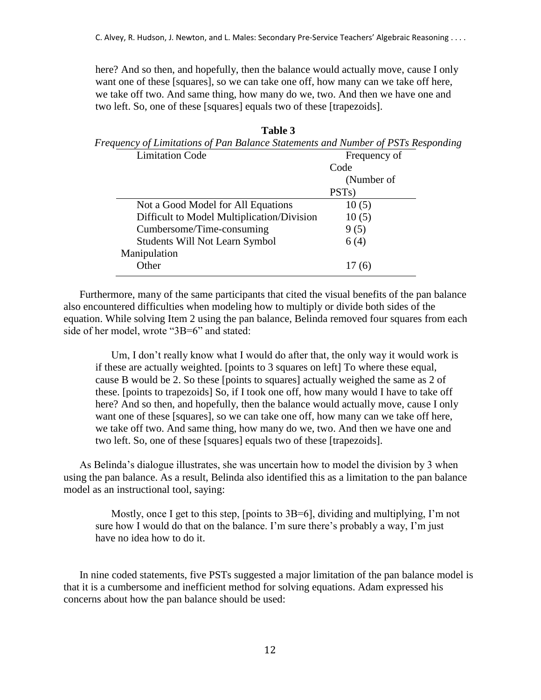here? And so then, and hopefully, then the balance would actually move, cause I only want one of these [squares], so we can take one off, how many can we take off here, we take off two. And same thing, how many do we, two. And then we have one and two left. So, one of these [squares] equals two of these [trapezoids].

| Frequency of Limitations of Pan Balance Statements and Number of PSTs Responding |                    |  |
|----------------------------------------------------------------------------------|--------------------|--|
| <b>Limitation Code</b>                                                           | Frequency of       |  |
|                                                                                  | Code               |  |
|                                                                                  | (Number of         |  |
|                                                                                  | PST <sub>s</sub> ) |  |
| Not a Good Model for All Equations                                               | 10(5)              |  |
| Difficult to Model Multiplication/Division                                       | 10(5)              |  |
| Cumbersome/Time-consuming                                                        | 9(5)               |  |
| <b>Students Will Not Learn Symbol</b>                                            | 6(4)               |  |
| Manipulation                                                                     |                    |  |
| Other                                                                            | 17(6)              |  |
|                                                                                  |                    |  |

**Table 3** *Frequency of Limitations of Pan Balance Statements and Number of PSTs Responding*

Furthermore, many of the same participants that cited the visual benefits of the pan balance also encountered difficulties when modeling how to multiply or divide both sides of the equation. While solving Item 2 using the pan balance, Belinda removed four squares from each side of her model, wrote "3B=6" and stated:

Um, I don't really know what I would do after that, the only way it would work is if these are actually weighted. [points to 3 squares on left] To where these equal, cause B would be 2. So these [points to squares] actually weighed the same as 2 of these. [points to trapezoids] So, if I took one off, how many would I have to take off here? And so then, and hopefully, then the balance would actually move, cause I only want one of these [squares], so we can take one off, how many can we take off here, we take off two. And same thing, how many do we, two. And then we have one and two left. So, one of these [squares] equals two of these [trapezoids].

As Belinda's dialogue illustrates, she was uncertain how to model the division by 3 when using the pan balance. As a result, Belinda also identified this as a limitation to the pan balance model as an instructional tool, saying:

Mostly, once I get to this step, [points to 3B=6], dividing and multiplying, I'm not sure how I would do that on the balance. I'm sure there's probably a way, I'm just have no idea how to do it.

In nine coded statements, five PSTs suggested a major limitation of the pan balance model is that it is a cumbersome and inefficient method for solving equations. Adam expressed his concerns about how the pan balance should be used: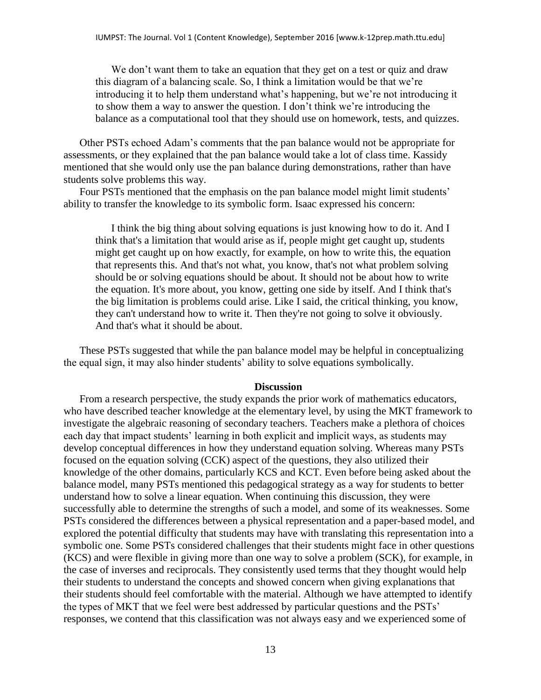We don't want them to take an equation that they get on a test or quiz and draw this diagram of a balancing scale. So, I think a limitation would be that we're introducing it to help them understand what's happening, but we're not introducing it to show them a way to answer the question. I don't think we're introducing the balance as a computational tool that they should use on homework, tests, and quizzes.

Other PSTs echoed Adam's comments that the pan balance would not be appropriate for assessments, or they explained that the pan balance would take a lot of class time. Kassidy mentioned that she would only use the pan balance during demonstrations, rather than have students solve problems this way.

Four PSTs mentioned that the emphasis on the pan balance model might limit students' ability to transfer the knowledge to its symbolic form. Isaac expressed his concern:

I think the big thing about solving equations is just knowing how to do it. And I think that's a limitation that would arise as if, people might get caught up, students might get caught up on how exactly, for example, on how to write this, the equation that represents this. And that's not what, you know, that's not what problem solving should be or solving equations should be about. It should not be about how to write the equation. It's more about, you know, getting one side by itself. And I think that's the big limitation is problems could arise. Like I said, the critical thinking, you know, they can't understand how to write it. Then they're not going to solve it obviously. And that's what it should be about.

These PSTs suggested that while the pan balance model may be helpful in conceptualizing the equal sign, it may also hinder students' ability to solve equations symbolically.

#### **Discussion**

From a research perspective, the study expands the prior work of mathematics educators, who have described teacher knowledge at the elementary level, by using the MKT framework to investigate the algebraic reasoning of secondary teachers. Teachers make a plethora of choices each day that impact students' learning in both explicit and implicit ways, as students may develop conceptual differences in how they understand equation solving. Whereas many PSTs focused on the equation solving (CCK) aspect of the questions, they also utilized their knowledge of the other domains, particularly KCS and KCT. Even before being asked about the balance model, many PSTs mentioned this pedagogical strategy as a way for students to better understand how to solve a linear equation. When continuing this discussion, they were successfully able to determine the strengths of such a model, and some of its weaknesses. Some PSTs considered the differences between a physical representation and a paper-based model, and explored the potential difficulty that students may have with translating this representation into a symbolic one. Some PSTs considered challenges that their students might face in other questions (KCS) and were flexible in giving more than one way to solve a problem (SCK), for example, in the case of inverses and reciprocals. They consistently used terms that they thought would help their students to understand the concepts and showed concern when giving explanations that their students should feel comfortable with the material. Although we have attempted to identify the types of MKT that we feel were best addressed by particular questions and the PSTs' responses, we contend that this classification was not always easy and we experienced some of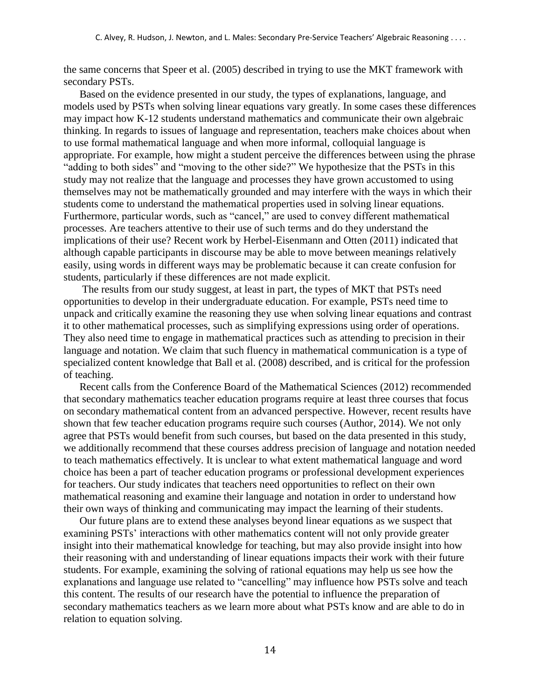the same concerns that Speer et al. (2005) described in trying to use the MKT framework with secondary PSTs.

Based on the evidence presented in our study, the types of explanations, language, and models used by PSTs when solving linear equations vary greatly. In some cases these differences may impact how K-12 students understand mathematics and communicate their own algebraic thinking. In regards to issues of language and representation, teachers make choices about when to use formal mathematical language and when more informal, colloquial language is appropriate. For example, how might a student perceive the differences between using the phrase "adding to both sides" and "moving to the other side?" We hypothesize that the PSTs in this study may not realize that the language and processes they have grown accustomed to using themselves may not be mathematically grounded and may interfere with the ways in which their students come to understand the mathematical properties used in solving linear equations. Furthermore, particular words, such as "cancel," are used to convey different mathematical processes. Are teachers attentive to their use of such terms and do they understand the implications of their use? Recent work by Herbel-Eisenmann and Otten (2011) indicated that although capable participants in discourse may be able to move between meanings relatively easily, using words in different ways may be problematic because it can create confusion for students, particularly if these differences are not made explicit.

The results from our study suggest, at least in part, the types of MKT that PSTs need opportunities to develop in their undergraduate education. For example, PSTs need time to unpack and critically examine the reasoning they use when solving linear equations and contrast it to other mathematical processes, such as simplifying expressions using order of operations. They also need time to engage in mathematical practices such as attending to precision in their language and notation. We claim that such fluency in mathematical communication is a type of specialized content knowledge that Ball et al. (2008) described, and is critical for the profession of teaching.

Recent calls from the Conference Board of the Mathematical Sciences (2012) recommended that secondary mathematics teacher education programs require at least three courses that focus on secondary mathematical content from an advanced perspective. However, recent results have shown that few teacher education programs require such courses (Author, 2014). We not only agree that PSTs would benefit from such courses, but based on the data presented in this study, we additionally recommend that these courses address precision of language and notation needed to teach mathematics effectively. It is unclear to what extent mathematical language and word choice has been a part of teacher education programs or professional development experiences for teachers. Our study indicates that teachers need opportunities to reflect on their own mathematical reasoning and examine their language and notation in order to understand how their own ways of thinking and communicating may impact the learning of their students.

Our future plans are to extend these analyses beyond linear equations as we suspect that examining PSTs' interactions with other mathematics content will not only provide greater insight into their mathematical knowledge for teaching, but may also provide insight into how their reasoning with and understanding of linear equations impacts their work with their future students. For example, examining the solving of rational equations may help us see how the explanations and language use related to "cancelling" may influence how PSTs solve and teach this content. The results of our research have the potential to influence the preparation of secondary mathematics teachers as we learn more about what PSTs know and are able to do in relation to equation solving.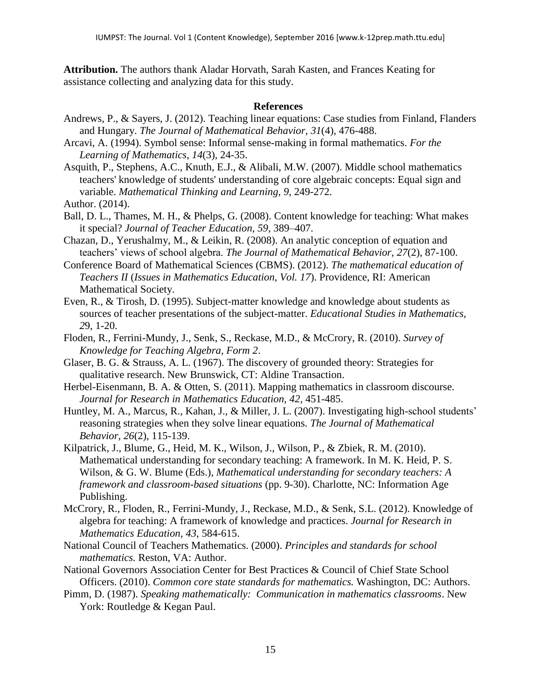**Attribution.** The authors thank Aladar Horvath, Sarah Kasten, and Frances Keating for assistance collecting and analyzing data for this study.

## **References**

- Andrews, P., & Sayers, J. (2012). Teaching linear equations: Case studies from Finland, Flanders and Hungary. *The Journal of Mathematical Behavior*, *31*(4), 476-488.
- Arcavi, A. (1994). Symbol sense: Informal sense-making in formal mathematics. *For the Learning of Mathematics*, *14*(3), 24-35.
- Asquith, P., Stephens, A.C., Knuth, E.J., & Alibali, M.W. (2007). Middle school mathematics teachers' knowledge of students' understanding of core algebraic concepts: Equal sign and variable. *Mathematical Thinking and Learning*, *9*, 249-272.

Author. (2014).

- Ball, D. L., Thames, M. H., & Phelps, G. (2008). Content knowledge for teaching: What makes it special? *Journal of Teacher Education, 59*, 389–407.
- Chazan, D., Yerushalmy, M., & Leikin, R. (2008). An analytic conception of equation and teachers' views of school algebra. *The Journal of Mathematical Behavior*, *27*(2), 87-100.
- Conference Board of Mathematical Sciences (CBMS). (2012). *The mathematical education of Teachers II* (*Issues in Mathematics Education, Vol. 17*). Providence, RI: American Mathematical Society.
- Even, R., & Tirosh, D. (1995). Subject-matter knowledge and knowledge about students as sources of teacher presentations of the subject-matter. *Educational Studies in Mathematics, 2*9, 1-20.
- Floden, R., Ferrini-Mundy, J., Senk, S., Reckase, M.D., & McCrory, R. (2010). *Survey of Knowledge for Teaching Algebra, Form 2*.
- Glaser, B. G. & Strauss, A. L. (1967). The discovery of grounded theory: Strategies for qualitative research. New Brunswick, CT: Aldine Transaction.
- Herbel-Eisenmann, B. A. & Otten, S. (2011). Mapping mathematics in classroom discourse. *Journal for Research in Mathematics Education, 42*, 451-485.
- Huntley, M. A., Marcus, R., Kahan, J., & Miller, J. L. (2007). Investigating high-school students' reasoning strategies when they solve linear equations. *The Journal of Mathematical Behavior*, *26*(2), 115-139.
- Kilpatrick, J., Blume, G., Heid, M. K., Wilson, J., Wilson, P., & Zbiek, R. M. (2010). Mathematical understanding for secondary teaching: A framework. In M. K. Heid, P. S. Wilson, & G. W. Blume (Eds.), *Mathematical understanding for secondary teachers: A framework and classroom-based situations* (pp. 9-30). Charlotte, NC: Information Age Publishing.
- McCrory, R., Floden, R., Ferrini-Mundy, J., Reckase, M.D., & Senk, S.L. (2012). Knowledge of algebra for teaching: A framework of knowledge and practices. *Journal for Research in Mathematics Education, 43*, 584-615.
- National Council of Teachers Mathematics. (2000). *Principles and standards for school mathematics.* Reston, VA: Author.
- National Governors Association Center for Best Practices & Council of Chief State School Officers. (2010). *Common core state standards for mathematics.* Washington, DC: Authors.
- Pimm, D. (1987). *Speaking mathematically: Communication in mathematics classrooms*. New York: Routledge & Kegan Paul.